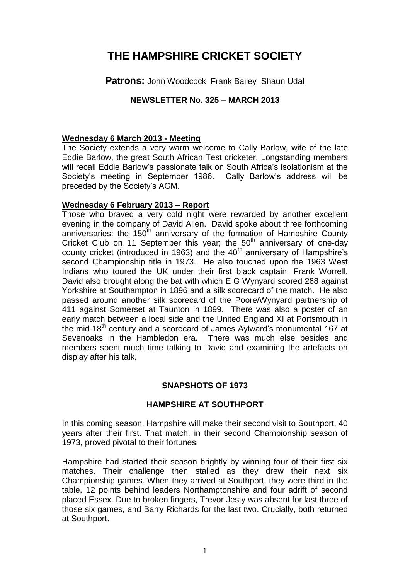# **THE HAMPSHIRE CRICKET SOCIETY**

**Patrons: John Woodcock Frank Bailey Shaun Udal** 

# **NEWSLETTER No. 325 – MARCH 2013**

# **Wednesday 6 March 2013 - Meeting**

The Society extends a very warm welcome to Cally Barlow, wife of the late Eddie Barlow, the great South African Test cricketer. Longstanding members will recall Eddie Barlow's passionate talk on South Africa's isolationism at the Society's meeting in September 1986. Cally Barlow's address will be preceded by the Society's AGM.

# **Wednesday 6 February 2013 – Report**

Those who braved a very cold night were rewarded by another excellent evening in the company of David Allen. David spoke about three forthcoming anniversaries: the  $150<sup>th</sup>$  anniversary of the formation of Hampshire County Cricket Club on 11 September this year; the  $50<sup>th</sup>$  anniversary of one-day county cricket (introduced in 1963) and the  $40<sup>th</sup>$  anniversary of Hampshire's second Championship title in 1973. He also touched upon the 1963 West Indians who toured the UK under their first black captain, Frank Worrell. David also brought along the bat with which E G Wynyard scored 268 against Yorkshire at Southampton in 1896 and a silk scorecard of the match. He also passed around another silk scorecard of the Poore/Wynyard partnership of 411 against Somerset at Taunton in 1899. There was also a poster of an early match between a local side and the United England XI at Portsmouth in the mid-18<sup>th</sup> century and a scorecard of James Aylward's monumental 167 at Sevenoaks in the Hambledon era. There was much else besides and members spent much time talking to David and examining the artefacts on display after his talk.

# **SNAPSHOTS OF 1973**

# **HAMPSHIRE AT SOUTHPORT**

In this coming season, Hampshire will make their second visit to Southport, 40 years after their first. That match, in their second Championship season of 1973, proved pivotal to their fortunes.

Hampshire had started their season brightly by winning four of their first six matches. Their challenge then stalled as they drew their next six Championship games. When they arrived at Southport, they were third in the table, 12 points behind leaders Northamptonshire and four adrift of second placed Essex. Due to broken fingers, Trevor Jesty was absent for last three of those six games, and Barry Richards for the last two. Crucially, both returned at Southport.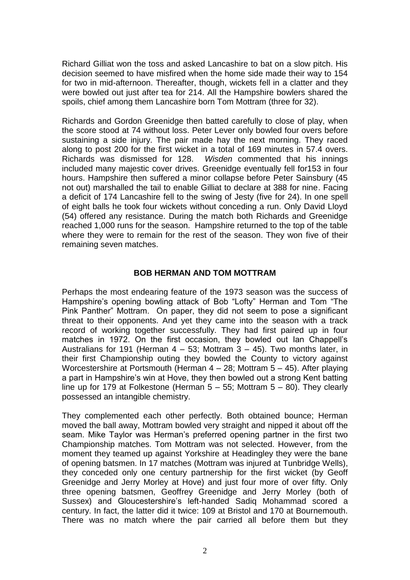Richard Gilliat won the toss and asked Lancashire to bat on a slow pitch. His decision seemed to have misfired when the home side made their way to 154 for two in mid-afternoon. Thereafter, though, wickets fell in a clatter and they were bowled out just after tea for 214. All the Hampshire bowlers shared the spoils, chief among them Lancashire born Tom Mottram (three for 32).

Richards and Gordon Greenidge then batted carefully to close of play, when the score stood at 74 without loss. Peter Lever only bowled four overs before sustaining a side injury. The pair made hay the next morning. They raced along to post 200 for the first wicket in a total of 169 minutes in 57.4 overs. Richards was dismissed for 128. *Wisden* commented that his innings included many majestic cover drives. Greenidge eventually fell for153 in four hours. Hampshire then suffered a minor collapse before Peter Sainsbury (45 not out) marshalled the tail to enable Gilliat to declare at 388 for nine. Facing a deficit of 174 Lancashire fell to the swing of Jesty (five for 24). In one spell of eight balls he took four wickets without conceding a run. Only David Lloyd (54) offered any resistance. During the match both Richards and Greenidge reached 1,000 runs for the season. Hampshire returned to the top of the table where they were to remain for the rest of the season. They won five of their remaining seven matches.

#### **BOB HERMAN AND TOM MOTTRAM**

Perhaps the most endearing feature of the 1973 season was the success of Hampshire's opening bowling attack of Bob "Lofty" Herman and Tom "The Pink Panther" Mottram. On paper, they did not seem to pose a significant threat to their opponents. And yet they came into the season with a track record of working together successfully. They had first paired up in four matches in 1972. On the first occasion, they bowled out Ian Chappell's Australians for 191 (Herman  $4 - 53$ ; Mottram  $3 - 45$ ). Two months later, in their first Championship outing they bowled the County to victory against Worcestershire at Portsmouth (Herman 4 – 28; Mottram 5 – 45). After playing a part in Hampshire's win at Hove, they then bowled out a strong Kent batting line up for 179 at Folkestone (Herman  $5 - 55$ ; Mottram  $5 - 80$ ). They clearly possessed an intangible chemistry.

They complemented each other perfectly. Both obtained bounce; Herman moved the ball away, Mottram bowled very straight and nipped it about off the seam. Mike Taylor was Herman's preferred opening partner in the first two Championship matches. Tom Mottram was not selected. However, from the moment they teamed up against Yorkshire at Headingley they were the bane of opening batsmen. In 17 matches (Mottram was injured at Tunbridge Wells), they conceded only one century partnership for the first wicket (by Geoff Greenidge and Jerry Morley at Hove) and just four more of over fifty. Only three opening batsmen, Geoffrey Greenidge and Jerry Morley (both of Sussex) and Gloucestershire's left-handed Sadiq Mohammad scored a century. In fact, the latter did it twice: 109 at Bristol and 170 at Bournemouth. There was no match where the pair carried all before them but they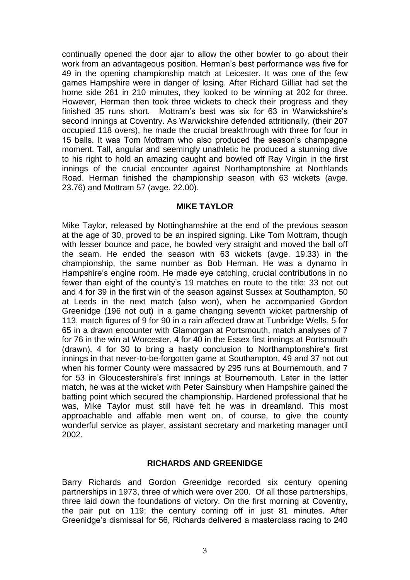continually opened the door ajar to allow the other bowler to go about their work from an advantageous position. Herman's best performance was five for 49 in the opening championship match at Leicester. It was one of the few games Hampshire were in danger of losing. After Richard Gilliat had set the home side 261 in 210 minutes, they looked to be winning at 202 for three. However, Herman then took three wickets to check their progress and they finished 35 runs short. Mottram's best was six for 63 in Warwickshire's second innings at Coventry. As Warwickshire defended attritionally, (their 207 occupied 118 overs), he made the crucial breakthrough with three for four in 15 balls. It was Tom Mottram who also produced the season's champagne moment. Tall, angular and seemingly unathletic he produced a stunning dive to his right to hold an amazing caught and bowled off Ray Virgin in the first innings of the crucial encounter against Northamptonshire at Northlands Road. Herman finished the championship season with 63 wickets (avge. 23.76) and Mottram 57 (avge. 22.00).

#### **MIKE TAYLOR**

Mike Taylor, released by Nottinghamshire at the end of the previous season at the age of 30, proved to be an inspired signing. Like Tom Mottram, though with lesser bounce and pace, he bowled very straight and moved the ball off the seam. He ended the season with 63 wickets (avge. 19.33) in the championship, the same number as Bob Herman. He was a dynamo in Hampshire's engine room. He made eye catching, crucial contributions in no fewer than eight of the county's 19 matches en route to the title: 33 not out and 4 for 39 in the first win of the season against Sussex at Southampton, 50 at Leeds in the next match (also won), when he accompanied Gordon Greenidge (196 not out) in a game changing seventh wicket partnership of 113, match figures of 9 for 90 in a rain affected draw at Tunbridge Wells, 5 for 65 in a drawn encounter with Glamorgan at Portsmouth, match analyses of 7 for 76 in the win at Worcester, 4 for 40 in the Essex first innings at Portsmouth (drawn), 4 for 30 to bring a hasty conclusion to Northamptonshire's first innings in that never-to-be-forgotten game at Southampton, 49 and 37 not out when his former County were massacred by 295 runs at Bournemouth, and 7 for 53 in Gloucestershire's first innings at Bournemouth. Later in the latter match, he was at the wicket with Peter Sainsbury when Hampshire gained the batting point which secured the championship. Hardened professional that he was, Mike Taylor must still have felt he was in dreamland. This most approachable and affable men went on, of course, to give the county wonderful service as player, assistant secretary and marketing manager until 2002.

# **RICHARDS AND GREENIDGE**

Barry Richards and Gordon Greenidge recorded six century opening partnerships in 1973, three of which were over 200. Of all those partnerships, three laid down the foundations of victory. On the first morning at Coventry, the pair put on 119; the century coming off in just 81 minutes. After Greenidge's dismissal for 56, Richards delivered a masterclass racing to 240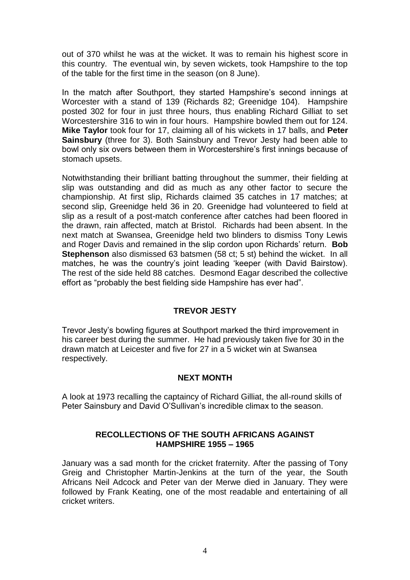out of 370 whilst he was at the wicket. It was to remain his highest score in this country. The eventual win, by seven wickets, took Hampshire to the top of the table for the first time in the season (on 8 June).

In the match after Southport, they started Hampshire's second innings at Worcester with a stand of 139 (Richards 82; Greenidge 104). Hampshire posted 302 for four in just three hours, thus enabling Richard Gilliat to set Worcestershire 316 to win in four hours. Hampshire bowled them out for 124. **Mike Taylor** took four for 17, claiming all of his wickets in 17 balls, and **Peter Sainsbury** (three for 3). Both Sainsbury and Trevor Jesty had been able to bowl only six overs between them in Worcestershire's first innings because of stomach upsets.

Notwithstanding their brilliant batting throughout the summer, their fielding at slip was outstanding and did as much as any other factor to secure the championship. At first slip, Richards claimed 35 catches in 17 matches; at second slip, Greenidge held 36 in 20. Greenidge had volunteered to field at slip as a result of a post-match conference after catches had been floored in the drawn, rain affected, match at Bristol. Richards had been absent. In the next match at Swansea, Greenidge held two blinders to dismiss Tony Lewis and Roger Davis and remained in the slip cordon upon Richards' return. **Bob Stephenson** also dismissed 63 batsmen (58 ct; 5 st) behind the wicket. In all matches, he was the country's joint leading 'keeper (with David Bairstow). The rest of the side held 88 catches. Desmond Eagar described the collective effort as "probably the best fielding side Hampshire has ever had".

# **TREVOR JESTY**

Trevor Jesty's bowling figures at Southport marked the third improvement in his career best during the summer. He had previously taken five for 30 in the drawn match at Leicester and five for 27 in a 5 wicket win at Swansea respectively.

#### **NEXT MONTH**

A look at 1973 recalling the captaincy of Richard Gilliat, the all-round skills of Peter Sainsbury and David O'Sullivan's incredible climax to the season.

#### **RECOLLECTIONS OF THE SOUTH AFRICANS AGAINST HAMPSHIRE 1955 – 1965**

January was a sad month for the cricket fraternity. After the passing of Tony Greig and Christopher Martin-Jenkins at the turn of the year, the South Africans Neil Adcock and Peter van der Merwe died in January. They were followed by Frank Keating, one of the most readable and entertaining of all cricket writers.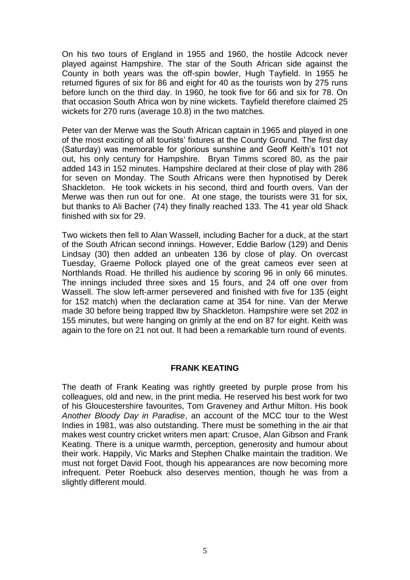On his two tours of England in 1955 and 1960, the hostile Adcock never played against Hampshire. The star of the South African side against the County in both years was the off-spin bowler, Hugh Tayfield. In 1955 he returned figures of six for 86 and eight for 40 as the tourists won by 275 runs before lunch on the third day. In 1960, he took five for 66 and six for 78. On that occasion South Africa won by nine wickets. Tayfield therefore claimed 25 wickets for 270 runs (average 10.8) in the two matches.

Peter van der Merwe was the South African captain in 1965 and played in one of the most exciting of all tourists' fixtures at the County Ground. The first day (Saturday) was memorable for glorious sunshine and Geoff Keith's 101 not out, his only century for Hampshire. Bryan Timms scored 80, as the pair added 143 in 152 minutes. Hampshire declared at their close of play with 286 for seven on Monday. The South Africans were then hypnotised by Derek Shackleton. He took wickets in his second, third and fourth overs. Van der Merwe was then run out for one. At one stage, the tourists were 31 for six, but thanks to Ali Bacher (74) they finally reached 133. The 41 year old Shack finished with six for 29.

Two wickets then fell to Alan Wassell, including Bacher for a duck, at the start of the South African second innings. However, Eddie Barlow (129) and Denis Lindsay (30) then added an unbeaten 136 by close of play. On overcast Tuesday, Graeme Pollock played one of the great cameos ever seen at Northlands Road. He thrilled his audience by scoring 96 in only 66 minutes. The innings included three sixes and 15 fours, and 24 off one over from Wassell. The slow left-armer persevered and finished with five for 135 (eight for 152 match) when the declaration came at 354 for nine. Van der Merwe made 30 before being trapped lbw by Shackleton. Hampshire were set 202 in 155 minutes, but were hanging on grimly at the end on 87 for eight. Keith was again to the fore on 21 not out. It had been a remarkable turn round of events.

#### **FRANK KEATING**

The death of Frank Keating was rightly greeted by purple prose from his colleagues, old and new, in the print media. He reserved his best work for two of his Gloucestershire favourites, Tom Graveney and Arthur Milton. His book *Another Bloody Day in Paradise*, an account of the MCC tour to the West Indies in 1981, was also outstanding. There must be something in the air that makes west country cricket writers men apart: Crusoe, Alan Gibson and Frank Keating. There is a unique warmth, perception, generosity and humour about their work. Happily, Vic Marks and Stephen Chalke maintain the tradition. We must not forget David Foot, though his appearances are now becoming more infrequent. Peter Roebuck also deserves mention, though he was from a slightly different mould.